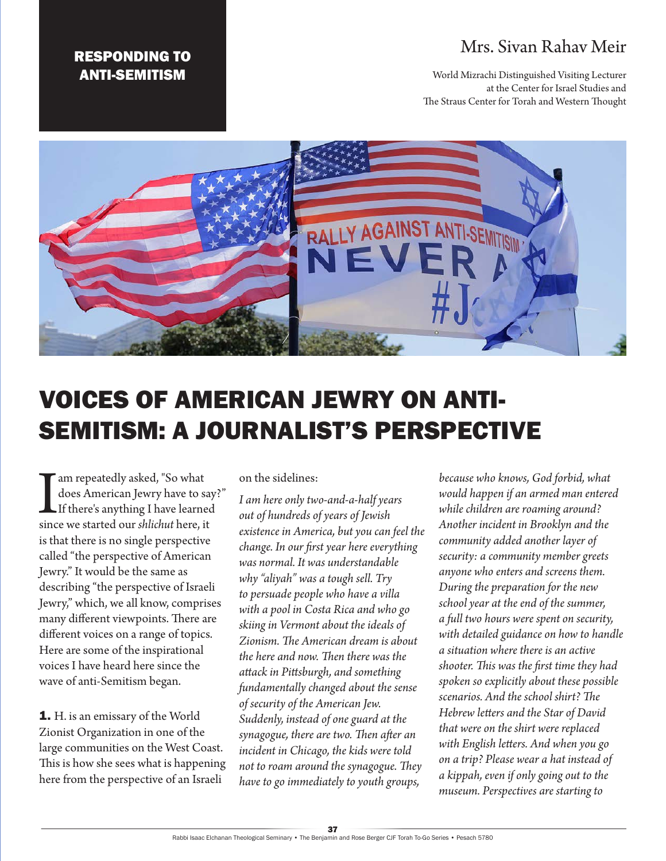## Mrs. Sivan Rahav Meir

World Mizrachi Distinguished Visiting Lecturer at the Center for Israel Studies and The Straus Center for Torah and Western Thought



## VOICES OF AMERICAN JEWRY ON ANTI-SEMITISM: A JOURNALIST'S PERSPECTIVE

I am repeatedly asked, "So what does American Jewry have to s<br>If there's anything I have learne<br>since we started our *shlichut* here, if does American Jewry have to say?" If there's anything I have learned since we started our *shlichut* here, it is that there is no single perspective called "the perspective of American Jewry." It would be the same as describing "the perspective of Israeli Jewry," which, we all know, comprises many different viewpoints. There are different voices on a range of topics. Here are some of the inspirational voices I have heard here since the wave of anti-Semitism began.

RESPONDING TO ANTI-SEMITISM

1. H. is an emissary of the World Zionist Organization in one of the large communities on the West Coast. This is how she sees what is happening here from the perspective of an Israeli

on the sidelines:

*I am here only two-and-a-half years out of hundreds of years of Jewish existence in America, but you can feel the change. In our first year here everything was normal. It was understandable why "aliyah" was a tough sell. Try to persuade people who have a villa with a pool in Costa Rica and who go skiing in Vermont about the ideals of Zionism. The American dream is about the here and now. Then there was the attack in Pittsburgh, and something fundamentally changed about the sense of security of the American Jew. Suddenly, instead of one guard at the synagogue, there are two. Then after an incident in Chicago, the kids were told not to roam around the synagogue. They have to go immediately to youth groups,* 

*because who knows, God forbid, what would happen if an armed man entered while children are roaming around? Another incident in Brooklyn and the community added another layer of security: a community member greets anyone who enters and screens them. During the preparation for the new school year at the end of the summer, a full two hours were spent on security, with detailed guidance on how to handle a situation where there is an active shooter. This was the first time they had spoken so explicitly about these possible scenarios. And the school shirt? The Hebrew letters and the Star of David that were on the shirt were replaced with English letters. And when you go on a trip? Please wear a hat instead of a kippah, even if only going out to the museum. Perspectives are starting to*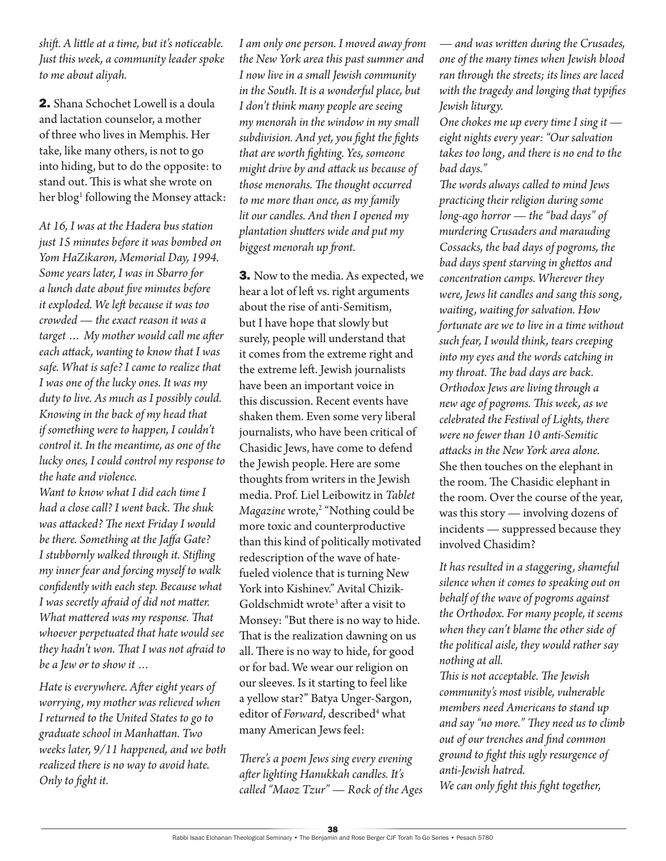*shift. A little at a time, but it's noticeable. Just this week, a community leader spoke to me about aliyah.*

2. Shana Schochet Lowell is a doula and lactation counselor, a mother of three who lives in Memphis. Her take, like many others, is not to go into hiding, but to do the opposite: to stand out. This is what she wrote on her blog<sup>1</sup> following the Monsey attack:

*At 16, I was at the Hadera bus station just 15 minutes before it was bombed on Yom HaZikaron, Memorial Day, 1994. Some years later, I was in Sbarro for a lunch date about five minutes before it exploded. We left because it was too crowded — the exact reason it was a target … My mother would call me after each attack, wanting to know that I was safe. What is safe? I came to realize that I was one of the lucky ones. It was my duty to live. As much as I possibly could. Knowing in the back of my head that if something were to happen, I couldn't control it. In the meantime, as one of the lucky ones, I could control my response to the hate and violence.*

*Want to know what I did each time I had a close call? I went back. The shuk was attacked? The next Friday I would be there. Something at the Jaffa Gate? I stubbornly walked through it. Stifling my inner fear and forcing myself to walk confidently with each step. Because what I was secretly afraid of did not matter. What mattered was my response. That whoever perpetuated that hate would see they hadn't won. That I was not afraid to be a Jew or to show it …*

*Hate is everywhere. After eight years of worrying, my mother was relieved when I returned to the United States to go to graduate school in Manhattan. Two weeks later, 9/11 happened, and we both realized there is no way to avoid hate. Only to fight it.*

*I am only one person. I moved away from the New York area this past summer and I now live in a small Jewish community in the South. It is a wonderful place, but I don't think many people are seeing my menorah in the window in my small subdivision. And yet, you fight the fights that are worth fighting. Yes, someone might drive by and attack us because of those menorahs. The thought occurred to me more than once, as my family lit our candles. And then I opened my plantation shutters wide and put my biggest menorah up front.*

**3.** Now to the media. As expected, we hear a lot of left vs. right arguments about the rise of anti-Semitism, but I have hope that slowly but surely, people will understand that it comes from the extreme right and the extreme left. Jewish journalists have been an important voice in this discussion. Recent events have shaken them. Even some very liberal journalists, who have been critical of Chasidic Jews, have come to defend the Jewish people. Here are some thoughts from writers in the Jewish media. Prof. Liel Leibowitz in *Tablet Magazine* wrote,2 "Nothing could be more toxic and counterproductive than this kind of politically motivated redescription of the wave of hatefueled violence that is turning New York into Kishinev." Avital Chizik-Goldschmidt wrote<sup>3</sup> after a visit to Monsey: "But there is no way to hide. That is the realization dawning on us all. There is no way to hide, for good or for bad. We wear our religion on our sleeves. Is it starting to feel like a yellow star?" Batya Unger-Sargon, editor of *Forward*, described<sup>4</sup> what many American Jews feel:

*There's a poem Jews sing every evening after lighting Hanukkah candles. It's called "Maoz Tzur" — Rock of the Ages*  *— and was written during the Crusades, one of the many times when Jewish blood ran through the streets; its lines are laced with the tragedy and longing that typifies Jewish liturgy.*

*One chokes me up every time I sing it eight nights every year: "Our salvation takes too long, and there is no end to the bad days."*

*The words always called to mind Jews practicing their religion during some long-ago horror — the "bad days" of murdering Crusaders and marauding Cossacks, the bad days of pogroms, the bad days spent starving in ghettos and concentration camps. Wherever they were, Jews lit candles and sang this song, waiting, waiting for salvation. How fortunate are we to live in a time without such fear, I would think, tears creeping into my eyes and the words catching in my throat. The bad days are back. Orthodox Jews are living through a new age of pogroms. This week, as we celebrated the Festival of Lights, there were no fewer than 10 anti-Semitic attacks in the New York area alone.* She then touches on the elephant in the room. The Chasidic elephant in the room. Over the course of the year, was this story — involving dozens of incidents — suppressed because they involved Chasidim?

*It has resulted in a staggering, shameful silence when it comes to speaking out on behalf of the wave of pogroms against the Orthodox. For many people, it seems when they can't blame the other side of the political aisle, they would rather say nothing at all.*

*This is not acceptable. The Jewish community's most visible, vulnerable members need Americans to stand up and say "no more." They need us to climb out of our trenches and find common ground to fight this ugly resurgence of anti-Jewish hatred.*

*We can only fight this fight together,*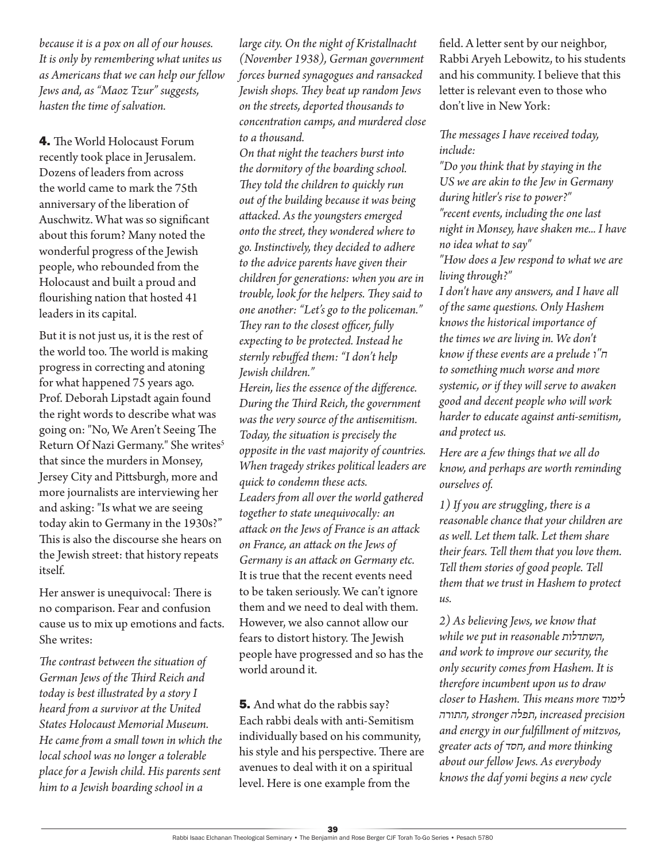*because it is a pox on all of our houses. It is only by remembering what unites us as Americans that we can help our fellow Jews and, as "Maoz Tzur" suggests, hasten the time of salvation.*

4. The World Holocaust Forum recently took place in Jerusalem. Dozens of leaders from across the world came to mark the 75th anniversary of the liberation of Auschwitz. What was so significant about this forum? Many noted the wonderful progress of the Jewish people, who rebounded from the Holocaust and built a proud and flourishing nation that hosted 41 leaders in its capital.

But it is not just us, it is the rest of the world too. The world is making progress in correcting and atoning for what happened 75 years ago. Prof. Deborah Lipstadt again found the right words to describe what was going on: "No, We Aren't Seeing The Return Of Nazi Germany." She writes<sup>5</sup> that since the murders in Monsey, Jersey City and Pittsburgh, more and more journalists are interviewing her and asking: "Is what we are seeing today akin to Germany in the 1930s?" This is also the discourse she hears on the Jewish street: that history repeats itself.

Her answer is unequivocal: There is no comparison. Fear and confusion cause us to mix up emotions and facts. She writes:

*The contrast between the situation of German Jews of the Third Reich and today is best illustrated by a story I heard from a survivor at the United States Holocaust Memorial Museum. He came from a small town in which the local school was no longer a tolerable place for a Jewish child. His parents sent him to a Jewish boarding school in a* 

*large city. On the night of Kristallnacht (November 1938), German government forces burned synagogues and ransacked Jewish shops. They beat up random Jews on the streets, deported thousands to concentration camps, and murdered close to a thousand.*

*On that night the teachers burst into the dormitory of the boarding school. They told the children to quickly run out of the building because it was being attacked. As the youngsters emerged onto the street, they wondered where to go. Instinctively, they decided to adhere to the advice parents have given their children for generations: when you are in trouble, look for the helpers. They said to one another: "Let's go to the policeman." They ran to the closest officer, fully expecting to be protected. Instead he sternly rebuffed them: "I don't help Jewish children."*

*Herein, lies the essence of the difference. During the Third Reich, the government was the very source of the antisemitism. Today, the situation is precisely the opposite in the vast majority of countries. When tragedy strikes political leaders are quick to condemn these acts. Leaders from all over the world gathered together to state unequivocally: an attack on the Jews of France is an attack on France, an attack on the Jews of Germany is an attack on Germany etc.* It is true that the recent events need to be taken seriously. We can't ignore them and we need to deal with them. However, we also cannot allow our fears to distort history. The Jewish people have progressed and so has the world around it.

5. And what do the rabbis say? Each rabbi deals with anti-Semitism individually based on his community, his style and his perspective. There are avenues to deal with it on a spiritual level. Here is one example from the

field. A letter sent by our neighbor, Rabbi Aryeh Lebowitz, to his students and his community. I believe that this letter is relevant even to those who don't live in New York:

*The messages I have received today, include:*

*"Do you think that by staying in the US we are akin to the Jew in Germany during hitler's rise to power?" "recent events, including the one last night in Monsey, have shaken me... I have no idea what to say"*

*"How does a Jew respond to what we are living through?"*

*I don't have any answers, and I have all of the same questions. Only Hashem knows the historical importance of the times we are living in. We don't know if these events are a prelude ו"ח to something much worse and more systemic, or if they will serve to awaken good and decent people who will work harder to educate against anti-semitism, and protect us.* 

*Here are a few things that we all do know, and perhaps are worth reminding ourselves of.*

*1) If you are struggling, there is a reasonable chance that your children are as well. Let them talk. Let them share their fears. Tell them that you love them. Tell them stories of good people. Tell them that we trust in Hashem to protect us.*

*2) As believing Jews, we know that while we put in reasonable השתדלות, and work to improve our security, the only security comes from Hashem. It is therefore incumbent upon us to draw closer to Hashem. This means more לימוד התורה, stronger תפלה, increased precision and energy in our fulfillment of mitzvos, greater acts of חסד, and more thinking about our fellow Jews. As everybody knows the daf yomi begins a new cycle*